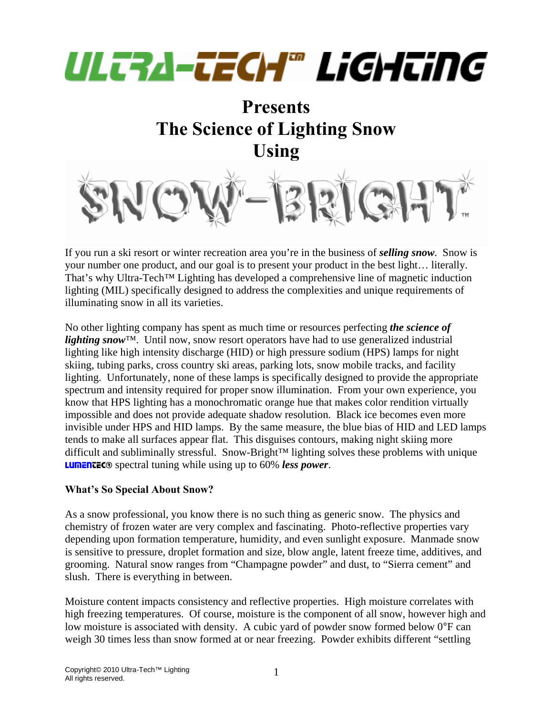# ULTRA-TECH® LiGHTiNG

### **Presents The Science of Lighting Snow Using**



If you run a ski resort or winter recreation area you're in the business of *selling snow*. Snow is your number one product, and our goal is to present your product in the best light… literally. That's why Ultra-Tech™ Lighting has developed a comprehensive line of magnetic induction lighting (MIL) specifically designed to address the complexities and unique requirements of illuminating snow in all its varieties.

No other lighting company has spent as much time or resources perfecting *the science of lighting snow*™. Until now, snow resort operators have had to use generalized industrial lighting like high intensity discharge (HID) or high pressure sodium (HPS) lamps for night skiing, tubing parks, cross country ski areas, parking lots, snow mobile tracks, and facility lighting. Unfortunately, none of these lamps is specifically designed to provide the appropriate spectrum and intensity required for proper snow illumination. From your own experience, you know that HPS lighting has a monochromatic orange hue that makes color rendition virtually impossible and does not provide adequate shadow resolution. Black ice becomes even more invisible under HPS and HID lamps. By the same measure, the blue bias of HID and LED lamps tends to make all surfaces appear flat. This disguises contours, making night skiing more difficult and subliminally stressful. Snow-Bright™ lighting solves these problems with unique LUMENTEC® spectral tuning while using up to 60% *less power*.

#### **What's So Special About Snow?**

As a snow professional, you know there is no such thing as generic snow. The physics and chemistry of frozen water are very complex and fascinating. Photo-reflective properties vary depending upon formation temperature, humidity, and even sunlight exposure. Manmade snow is sensitive to pressure, droplet formation and size, blow angle, latent freeze time, additives, and grooming. Natural snow ranges from "Champagne powder" and dust, to "Sierra cement" and slush. There is everything in between.

Moisture content impacts consistency and reflective properties. High moisture correlates with high freezing temperatures. Of course, moisture is the component of all snow, however high and low moisture is associated with density. A cubic yard of powder snow formed below 0°F can weigh 30 times less than snow formed at or near freezing. Powder exhibits different "settling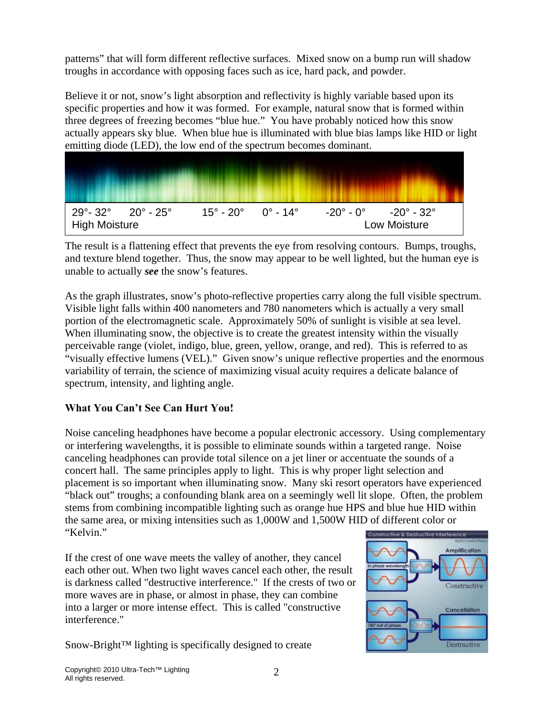patterns" that will form different reflective surfaces. Mixed snow on a bump run will shadow troughs in accordance with opposing faces such as ice, hard pack, and powder.

Believe it or not, snow's light absorption and reflectivity is highly variable based upon its specific properties and how it was formed. For example, natural snow that is formed within three degrees of freezing becomes "blue hue." You have probably noticed how this snow actually appears sky blue. When blue hue is illuminated with blue bias lamps like HID or light emitting diode (LED), the low end of the spectrum becomes dominant.



The result is a flattening effect that prevents the eye from resolving contours. Bumps, troughs, and texture blend together. Thus, the snow may appear to be well lighted, but the human eye is unable to actually *see* the snow's features.

As the graph illustrates, snow's photo-reflective properties carry along the full visible spectrum. Visible light falls within 400 nanometers and 780 nanometers which is actually a very small portion of the electromagnetic scale. Approximately 50% of sunlight is visible at sea level. When illuminating snow, the objective is to create the greatest intensity within the visually perceivable range (violet, indigo, blue, green, yellow, orange, and red). This is referred to as "visually effective lumens (VEL)." Given snow's unique reflective properties and the enormous variability of terrain, the science of maximizing visual acuity requires a delicate balance of spectrum, intensity, and lighting angle.

#### **What You Can't See Can Hurt You!**

Noise canceling headphones have become a popular electronic accessory. Using complementary or interfering wavelengths, it is possible to eliminate sounds within a targeted range. Noise canceling headphones can provide total silence on a jet liner or accentuate the sounds of a concert hall. The same principles apply to light. This is why proper light selection and placement is so important when illuminating snow. Many ski resort operators have experienced "black out" troughs; a confounding blank area on a seemingly well lit slope. Often, the problem stems from combining incompatible lighting such as orange hue HPS and blue hue HID within the same area, or mixing intensities such as 1,000W and 1,500W HID of different color or "Kelvin."

If the crest of one wave meets the valley of another, they cancel each other out. When two light waves cancel each other, the result is darkness called "destructive interference." If the crests of two or more waves are in phase, or almost in phase, they can combine into a larger or more intense effect. This is called "constructive interference."

Snow-Bright™ lighting is specifically designed to create

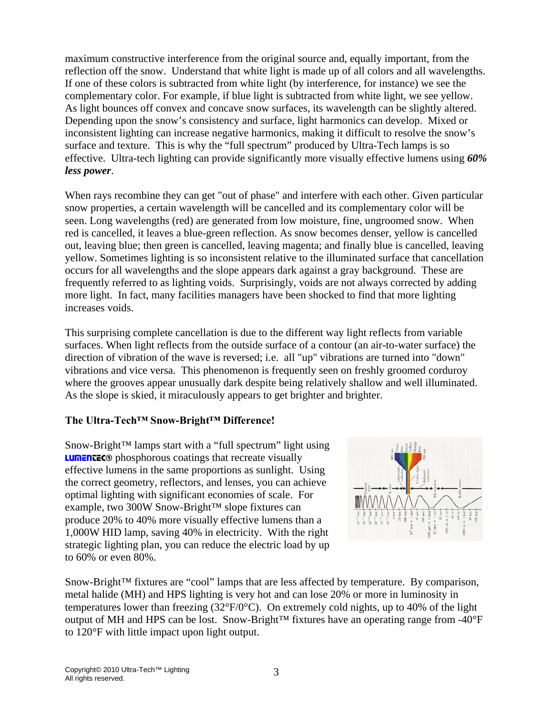maximum constructive interference from the original source and, equally important, from the reflection off the snow. Understand that white light is made up of all colors and all wavelengths. If one of these colors is subtracted from white light (by interference, for instance) we see the complementary color. For example, if blue light is subtracted from white light, we see yellow. As light bounces off convex and concave snow surfaces, its wavelength can be slightly altered. Depending upon the snow's consistency and surface, light harmonics can develop. Mixed or inconsistent lighting can increase negative harmonics, making it difficult to resolve the snow's surface and texture. This is why the "full spectrum" produced by Ultra-Tech lamps is so effective. Ultra-tech lighting can provide significantly more visually effective lumens using *60% less power*.

When rays recombine they can get "out of phase" and interfere with each other. Given particular snow properties, a certain wavelength will be cancelled and its complementary color will be seen. Long wavelengths (red) are generated from low moisture, fine, ungroomed snow. When red is cancelled, it leaves a blue-green reflection. As snow becomes denser, yellow is cancelled out, leaving blue; then green is cancelled, leaving magenta; and finally blue is cancelled, leaving yellow. Sometimes lighting is so inconsistent relative to the illuminated surface that cancellation occurs for all wavelengths and the slope appears dark against a gray background. These are frequently referred to as lighting voids. Surprisingly, voids are not always corrected by adding more light. In fact, many facilities managers have been shocked to find that more lighting increases voids.

This surprising complete cancellation is due to the different way light reflects from variable surfaces. When light reflects from the outside surface of a contour (an air-to-water surface) the direction of vibration of the wave is reversed; i.e. all "up" vibrations are turned into "down" vibrations and vice versa. This phenomenon is frequently seen on freshly groomed corduroy where the grooves appear unusually dark despite being relatively shallow and well illuminated. As the slope is skied, it miraculously appears to get brighter and brighter.

#### **The Ultra-Tech™ Snow-Bright™ Difference!**

Snow-Bright™ lamps start with a "full spectrum" light using **LUMENTEC®** phosphorous coatings that recreate visually effective lumens in the same proportions as sunlight. Using the correct geometry, reflectors, and lenses, you can achieve optimal lighting with significant economies of scale. For example, two 300W Snow-Bright™ slope fixtures can produce 20% to 40% more visually effective lumens than a 1,000W HID lamp, saving 40% in electricity. With the right strategic lighting plan, you can reduce the electric load by up to 60% or even 80%.



Snow-Bright™ fixtures are "cool" lamps that are less affected by temperature. By comparison, metal halide (MH) and HPS lighting is very hot and can lose 20% or more in luminosity in temperatures lower than freezing (32°F/0°C). On extremely cold nights, up to 40% of the light output of MH and HPS can be lost. Snow-Bright™ fixtures have an operating range from -40°F to 120°F with little impact upon light output.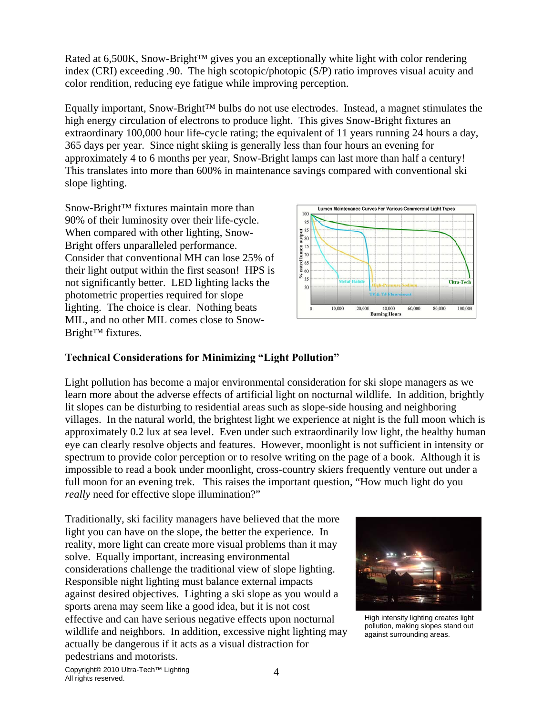Rated at 6,500K, Snow-Bright™ gives you an exceptionally white light with color rendering index (CRI) exceeding .90. The high scotopic/photopic (S/P) ratio improves visual acuity and color rendition, reducing eye fatigue while improving perception.

Equally important, Snow-Bright™ bulbs do not use electrodes. Instead, a magnet stimulates the high energy circulation of electrons to produce light. This gives Snow-Bright fixtures an extraordinary 100,000 hour life-cycle rating; the equivalent of 11 years running 24 hours a day, 365 days per year. Since night skiing is generally less than four hours an evening for approximately 4 to 6 months per year, Snow-Bright lamps can last more than half a century! This translates into more than 600% in maintenance savings compared with conventional ski slope lighting.

Snow-Bright™ fixtures maintain more than 90% of their luminosity over their life-cycle. When compared with other lighting, Snow-Bright offers unparalleled performance. Consider that conventional MH can lose 25% of their light output within the first season! HPS is not significantly better. LED lighting lacks the photometric properties required for slope lighting. The choice is clear. Nothing beats MIL, and no other MIL comes close to Snow-Bright™ fixtures.



#### **Technical Considerations for Minimizing "Light Pollution"**

Light pollution has become a major environmental consideration for ski slope managers as we learn more about the adverse effects of artificial light on nocturnal wildlife. In addition, brightly lit slopes can be disturbing to residential areas such as slope-side housing and neighboring villages. In the natural world, the brightest light we experience at night is the full moon which is approximately 0.2 lux at sea level. Even under such extraordinarily low light, the healthy human eye can clearly resolve objects and features. However, moonlight is not sufficient in intensity or spectrum to provide color perception or to resolve writing on the page of a book. Although it is impossible to read a book under moonlight, cross-country skiers frequently venture out under a full moon for an evening trek. This raises the important question, "How much light do you *really* need for effective slope illumination?"

Traditionally, ski facility managers have believed that the more light you can have on the slope, the better the experience. In reality, more light can create more visual problems than it may solve. Equally important, increasing environmental considerations challenge the traditional view of slope lighting. Responsible night lighting must balance external impacts against desired objectives. Lighting a ski slope as you would a sports arena may seem like a good idea, but it is not cost effective and can have serious negative effects upon nocturnal wildlife and neighbors. In addition, excessive night lighting may actually be dangerous if it acts as a visual distraction for pedestrians and motorists.



High intensity lighting creates light pollution, making slopes stand out against surrounding areas.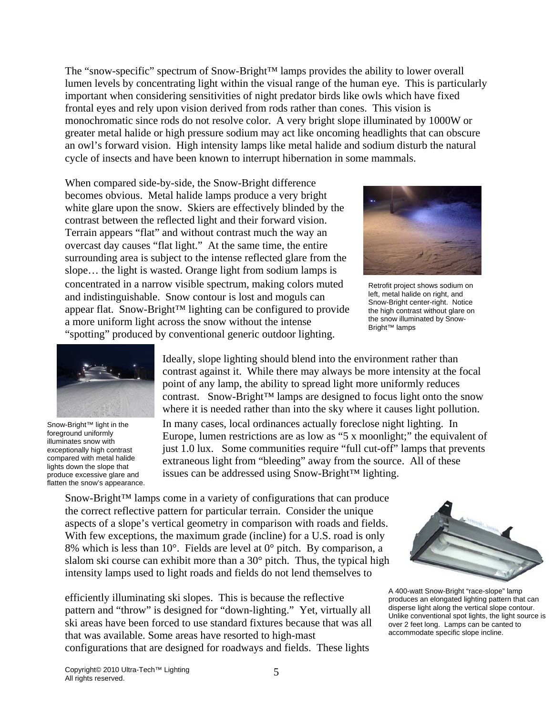The "snow-specific" spectrum of Snow-Bright™ lamps provides the ability to lower overall lumen levels by concentrating light within the visual range of the human eye. This is particularly important when considering sensitivities of night predator birds like owls which have fixed frontal eyes and rely upon vision derived from rods rather than cones. This vision is monochromatic since rods do not resolve color. A very bright slope illuminated by 1000W or greater metal halide or high pressure sodium may act like oncoming headlights that can obscure an owl's forward vision. High intensity lamps like metal halide and sodium disturb the natural cycle of insects and have been known to interrupt hibernation in some mammals.

When compared side-by-side, the Snow-Bright difference becomes obvious. Metal halide lamps produce a very bright white glare upon the snow. Skiers are effectively blinded by the contrast between the reflected light and their forward vision. Terrain appears "flat" and without contrast much the way an overcast day causes "flat light." At the same time, the entire surrounding area is subject to the intense reflected glare from the slope… the light is wasted. Orange light from sodium lamps is concentrated in a narrow visible spectrum, making colors muted and indistinguishable. Snow contour is lost and moguls can appear flat. Snow-Bright™ lighting can be configured to provide a more uniform light across the snow without the intense "spotting" produced by conventional generic outdoor lighting.



Retrofit project shows sodium on left, metal halide on right, and Snow-Bright center-right. Notice the high contrast without glare on the snow illuminated by Snow-Bright™ lamps

Snow-Bright™ light in the foreground uniformly illuminates snow with exceptionally high contrast compared with metal halide lights down the slope that produce excessive glare and flatten the snow's appearance.

Ideally, slope lighting should blend into the environment rather than contrast against it. While there may always be more intensity at the focal point of any lamp, the ability to spread light more uniformly reduces contrast. Snow-Bright™ lamps are designed to focus light onto the snow where it is needed rather than into the sky where it causes light pollution.

In many cases, local ordinances actually foreclose night lighting. In Europe, lumen restrictions are as low as "5 x moonlight;" the equivalent of just 1.0 lux. Some communities require "full cut-off" lamps that prevents extraneous light from "bleeding" away from the source. All of these issues can be addressed using Snow-Bright™ lighting.

Snow-Bright™ lamps come in a variety of configurations that can produce the correct reflective pattern for particular terrain. Consider the unique aspects of a slope's vertical geometry in comparison with roads and fields. With few exceptions, the maximum grade (incline) for a U.S. road is only 8% which is less than  $10^{\circ}$ . Fields are level at  $0^{\circ}$  pitch. By comparison, a slalom ski course can exhibit more than a 30° pitch. Thus, the typical high intensity lamps used to light roads and fields do not lend themselves to

efficiently illuminating ski slopes. This is because the reflective pattern and "throw" is designed for "down-lighting." Yet, virtually all ski areas have been forced to use standard fixtures because that was all that was available. Some areas have resorted to high-mast configurations that are designed for roadways and fields. These lights



A 400-watt Snow-Bright "race-slope" lamp produces an elongated lighting pattern that can disperse light along the vertical slope contour. Unlike conventional spot lights, the light source is over 2 feet long. Lamps can be canted to accommodate specific slope incline.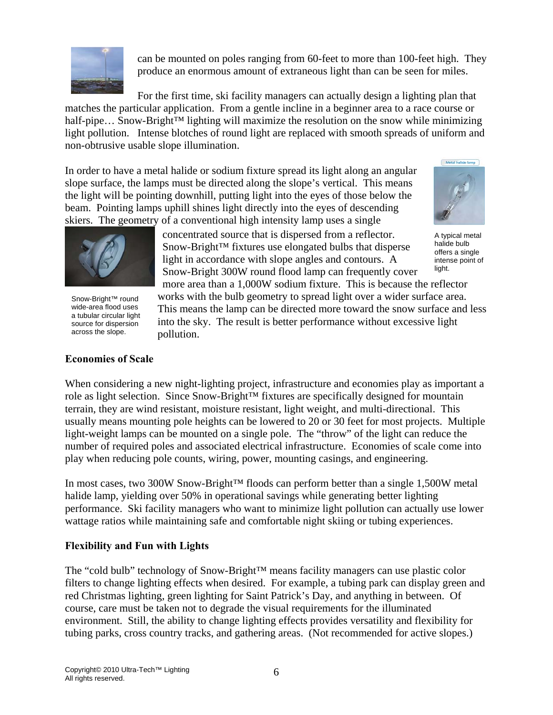

can be mounted on poles ranging from 60-feet to more than 100-feet high. They produce an enormous amount of extraneous light than can be seen for miles.

For the first time, ski facility managers can actually design a lighting plan that matches the particular application. From a gentle incline in a beginner area to a race course or half-pipe... Snow-Bright™ lighting will maximize the resolution on the snow while minimizing light pollution. Intense blotches of round light are replaced with smooth spreads of uniform and non-obtrusive usable slope illumination.

In order to have a metal halide or sodium fixture spread its light along an angular slope surface, the lamps must be directed along the slope's vertical. This means the light will be pointing downhill, putting light into the eyes of those below the beam. Pointing lamps uphill shines light directly into the eyes of descending skiers. The geometry of a conventional high intensity lamp uses a single



Snow-Bright™ round wide-area flood uses a tubular circular light source for dispersion across the slope.

#### **Economies of Scale**

concentrated source that is dispersed from a reflector. Snow-Bright™ fixtures use elongated bulbs that disperse light in accordance with slope angles and contours. A Snow-Bright 300W round flood lamp can frequently cover

more area than a 1,000W sodium fixture. This is because the reflector works with the bulb geometry to spread light over a wider surface area. This means the lamp can be directed more toward the snow surface and less into the sky. The result is better performance without excessive light pollution.

When considering a new night-lighting project, infrastructure and economies play as important a role as light selection. Since Snow-Bright™ fixtures are specifically designed for mountain terrain, they are wind resistant, moisture resistant, light weight, and multi-directional. This usually means mounting pole heights can be lowered to 20 or 30 feet for most projects. Multiple light-weight lamps can be mounted on a single pole. The "throw" of the light can reduce the number of required poles and associated electrical infrastructure. Economies of scale come into play when reducing pole counts, wiring, power, mounting casings, and engineering.

In most cases, two 300W Snow-Bright™ floods can perform better than a single 1,500W metal halide lamp, yielding over 50% in operational savings while generating better lighting performance. Ski facility managers who want to minimize light pollution can actually use lower wattage ratios while maintaining safe and comfortable night skiing or tubing experiences.

#### **Flexibility and Fun with Lights**

The "cold bulb" technology of Snow-Bright™ means facility managers can use plastic color filters to change lighting effects when desired. For example, a tubing park can display green and red Christmas lighting, green lighting for Saint Patrick's Day, and anything in between. Of course, care must be taken not to degrade the visual requirements for the illuminated environment. Still, the ability to change lighting effects provides versatility and flexibility for tubing parks, cross country tracks, and gathering areas. (Not recommended for active slopes.)



A typical metal halide bulb offers a single intense point of light.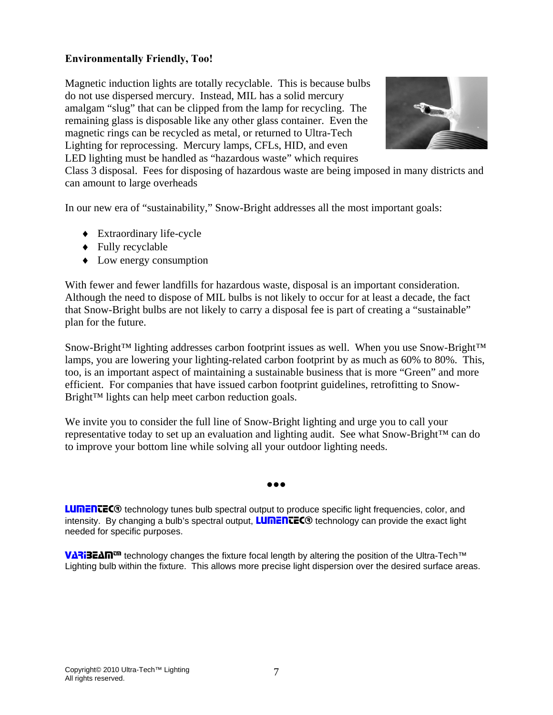#### **Environmentally Friendly, Too!**

Magnetic induction lights are totally recyclable. This is because bulbs do not use dispersed mercury. Instead, MIL has a solid mercury amalgam "slug" that can be clipped from the lamp for recycling. The remaining glass is disposable like any other glass container. Even the magnetic rings can be recycled as metal, or returned to Ultra-Tech Lighting for reprocessing. Mercury lamps, CFLs, HID, and even LED lighting must be handled as "hazardous waste" which requires



Class 3 disposal. Fees for disposing of hazardous waste are being imposed in many districts and can amount to large overheads

In our new era of "sustainability," Snow-Bright addresses all the most important goals:

- ♦ Extraordinary life-cycle
- ♦ Fully recyclable
- ♦ Low energy consumption

With fewer and fewer landfills for hazardous waste, disposal is an important consideration. Although the need to dispose of MIL bulbs is not likely to occur for at least a decade, the fact that Snow-Bright bulbs are not likely to carry a disposal fee is part of creating a "sustainable" plan for the future.

Snow-Bright™ lighting addresses carbon footprint issues as well. When you use Snow-Bright™ lamps, you are lowering your lighting-related carbon footprint by as much as 60% to 80%. This, too, is an important aspect of maintaining a sustainable business that is more "Green" and more efficient. For companies that have issued carbon footprint guidelines, retrofitting to Snow-Bright™ lights can help meet carbon reduction goals.

We invite you to consider the full line of Snow-Bright lighting and urge you to call your representative today to set up an evaluation and lighting audit. See what Snow-Bright<sup>™</sup> can do to improve your bottom line while solving all your outdoor lighting needs.

**●●●**

**LUMENTEC**® technology tunes bulb spectral output to produce specific light frequencies, color, and intensity. By changing a bulb's spectral output, **LUMENTEC** $\odot$  technology can provide the exact light needed for specific purposes.

VARIBEAM™ technology changes the fixture focal length by altering the position of the Ultra-Tech™ Lighting bulb within the fixture. This allows more precise light dispersion over the desired surface areas.